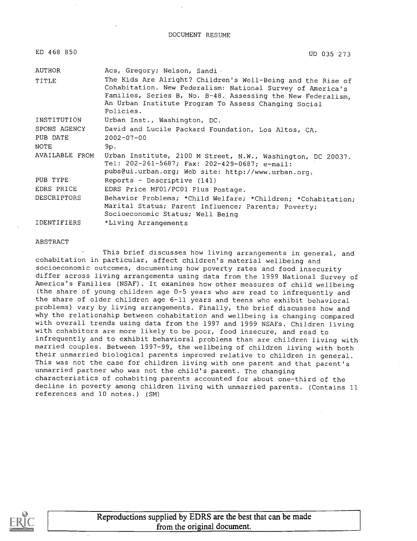DOCUMENT RESUME

| ED 468 850         | UD 035 273                                                                                                                                                                                                                                                    |
|--------------------|---------------------------------------------------------------------------------------------------------------------------------------------------------------------------------------------------------------------------------------------------------------|
| AUTHOR             | Acs, Gregory; Nelson, Sandi                                                                                                                                                                                                                                   |
| TITLE              | The Kids Are Alright? Children's Well-Being and the Rise of<br>Cohabitation. New Federalism: National Survey of America's<br>Families, Series B, No. B-48. Assessing the New Federalism,<br>An Urban Institute Program To Assess Changing Social<br>Policies. |
| INSTITUTION        | Urban Inst., Washington, DC.                                                                                                                                                                                                                                  |
| SPONS AGENCY       | David and Lucile Packard Foundation, Los Altos, CA.                                                                                                                                                                                                           |
| PUB DATE           | $2002 - 07 - 00$                                                                                                                                                                                                                                              |
| NOTE               | 9p.                                                                                                                                                                                                                                                           |
| AVAILABLE FROM     | Urban Institute, 2100 M Street, N.W., Washington, DC 20037.<br>Tel: 202-261-5687; Fax: 202-429-0687; e-mail:<br>pubs@ui.urban.org; Web site: http://www.urban.org.                                                                                            |
| PUB TYPE           | Reports - Descriptive (141)                                                                                                                                                                                                                                   |
| EDRS PRICE         | EDRS Price MF01/PC01 Plus Postage.                                                                                                                                                                                                                            |
| <b>DESCRIPTORS</b> | Behavior Problems; *Child Welfare; *Children; *Cohabitation;<br>Marital Status; Parent Influence; Parents; Poverty;<br>Socioeconomic Status; Well Being                                                                                                       |
| <b>IDENTIFIERS</b> | *Living Arrangements                                                                                                                                                                                                                                          |

#### ABSTRACT

This brief discusses how living arrangements in general, and cohabitation in particular, affect children's material wellbeing and socioeconomic outcomes, documenting how poverty rates and food insecurity differ across living arrangements using data from the 1999 National Survey of America's Families (NSAF). It examines how other measures of child wellbeing (the share of young children age 0-5 years who are read to infrequently and the share of older children age 6-11 years and teens who exhibit behavioral problems) vary by living arrangements. Finally, the brief discusses how and why the relationship between cohabitation and wellbeing is changing compared with overall trends using data from the 1997 and 1999 NSAFs. Children living with cohabitors are more likely to be poor, food insecure, and read to infrequently and to exhibit behavioral problems than are children living with married couples. Between 1997-99, the wellbeing of children living with both their unmarried biological parents improved relative to children in general. This was not the case for children living with one parent and that parent's unmarried partner who was not the child's parent. The changing characteristics of cohabiting parents accounted for about one-third of the decline in poverty among children living with unmarried parents. (Contains 11 references and 10 notes.) (SM)

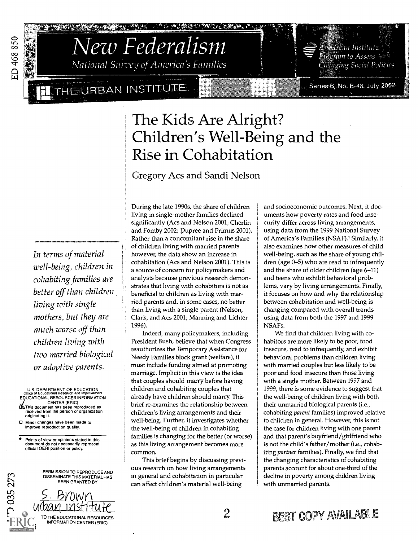

# National Survey of America's Families New Federalism

**I** THE URBAN INSTITUT

**REAL PROPERTY AND REAL PROPERTY** 

## The Kids Are Alright? Children's Well-Being and the Rise in Cohabitation

### Gregory Acs and Sandi Nelson

(\* 6) : (\* ) : (\* ) : (\* ) : (\* ) : (\* ) : (\* ) : (\* ) : (\* ) : (\* ) : (\* ) : (\* ) : (\* ) : (\* ) : (

In terms of material well-being, children in cohabiting families are better off than children living with single mothers, but they are much worse off than children living with two married biological or adoptive parents.

. . .

U.S. DEPARTMENT OF EDUCATION Office of Educational Research and Improvement EDUCATIONAL RESOURCES INFORMATION CENTER (ERIC) This document has been reproduced as received from the person or organization originating it.

Minor changes have been made to improve reproduction quality.

035273

Points of view or opinions stated in this document do not necessarily represent official OERI position or policy.

PERMISSION TO REPRODUCE AND DISSEMINATE THIS MATERIAL HAS BEEN GRANTED BY



During the late 1990s, the share of children living in single-mother families declined significantly (Acs and Nelson 2001; Cherlin and Fomby 2002; Dupree and Primus 2001). Rather than a concomitant rise in the share of children living with married parents however, the data show an increase in cohabitation (Acs and Nelson 2001). This is a source of concern for policymakers and analysts because previous research demonstrates that living with cohabitors is not as beneficial to children as living with married parents and, in some cases, no better than living with a single parent (Nelson, Clark, and Acs 2001; Manning and Lichter 1996).

Indeed, many policymakers, including President Bush, believe that when Congress reauthorizes the Temporary Assistance for Needy Families block grant (welfare), it must include funding aimed at promoting marriage. Implicit in this view is the idea that couples should marry before having children and cohabiting couples that already have children should marry. This brief re-examines the relationship between children's living arrangements and their well-being. Further, it investigates whether the well-being of children in cohabiting families is changing for the better (or worse) as this living arrangement becomes more common.

This brief begins by discussing previous research on how living arrangements in general and cohabitation in particular can affect children's material well-being

and socioeconomic outcomes. Next, it documents how poverty rates and food insecurity differ across living arrangements, using data from the 1999 National Survey of America's Families (NSAF).' Similarly, it also examines how other measures of child well-being, such as the share of young children (age 0-5) who are read to infrequently and the share of older children (age 6-11) and teens who exhibit behavioral problems, vary by living arrangements. Finally, it focuses on how and why the relationship between cohabitation and well-being is changing compared with overall trends using data from both the 1997 and 1999 NSAFs.

We find that children living with cohabitors are more likely to be poor, food insecure, read to infrequently, and exhibit behavioral problems than children living with married couples but less likely to be poor and food insecure than those living with a single mother. Between 1997 and 1999, there is some evidence to suggest that the well-being of children living with both their unmarried biological parents (i.e., cohabiting parent families) improved relative to children in general. However, this is not the case for children living with one parent and that parent's boyfriend/girlfriend who is not the child's father/mother (i.e., cohabiting partner families). Finally, we find that the changing characteristics of cohabiting parents account for about one-third of the decline in poverty among children living with unmarried parents.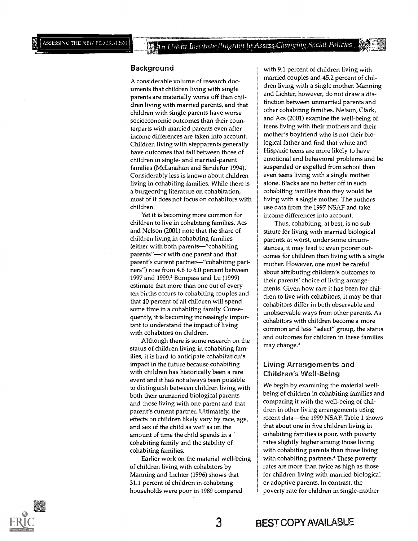#### **Background**

A considerable volume of research documents that children living with single parents are materially worse off than children living with married parents, and that children with single parents have worse socioeconomic outcomes than their counterparts with married parents even after income differences are taken into account. Children living with stepparents generally have outcomes that fall between those of children in single- and married-parent families (McLanahan and Sandefur 1994). Considerably less is known about children living in cohabiting families. While there is a burgeoning literature on cohabitation, most of it does not focus on cohabitors with children.

Yet it is becoming more common for children to live in cohabiting families. Acs and Nelson (2001) note that the share of children living in cohabiting families (either with both parents—"cohabiting parents"-or with one parent and that parent's current partner--"cohabiting partners") rose from 4.6 to 6.0 percent between 1997 and 1999.2 Bumpass and Lu (1999) estimate that more than one out of every ten births occurs to cohabiting couples and that 40 percent of all children will spend some time in a cohabiting family. Consequently, it is becoming increasingly important to understand the impact of living with cohabitors on children.

Although there is some research on the status of children living in cohabiting families, it is hard to anticipate cohabitation's impact in the future because cohabiting with children has historically been a rare event and it has not always been possible to distinguish between children living with both their unmarried biological parents and those living with one parent and that parent's current partner. Ultimately, the effects on children likely vary by race, age, and sex of the child as well as on the amount of time the child spends in a cohabiting family and the stability of cohabiting families.

Earlier work on the material well-being of children living with cohabitors by Manning and Lichter (1996) shows that 31.1 percent of children in cohabiting households were poor in 1989 compared

with 9.1 percent of children living with married couples and 45.2 percent of children living with a single mother. Manning and Lichter, however, do not draw a distinction between unmarried parents and other cohabiting families. Nelson, Clark, and Acs (2001) examine the well-being of teens living with their mothers and their mother's boyfriend who is not their biological father and find that white and Hispanic teens are more likely to have emotional and behavioral problems and be suspended or expelled from school than even teens living with a single mother alone. Blacks are no better off in such cohabiting families than they would be living with a single mother. The authors use data from the 1997 NSAF and take income differences into account.

Thus, cohabiting, at best, is no substitute for living with married biological parents; at worst, under some circumstances, it may lead to even poorer outcomes for children than living with a single mother. However, one must be careful about attributing children's outcomes to their parents' choice of living arrangements. Given how rare it has been for children to live with cohabitors, it may be that cohabitors differ in both observable and unobservable ways from other parents. As cohabitors with children become a more common and less "select" group, the status and outcomes for children in these families may change.3

#### Living Arrangements and Children's Well -Being

We begin by examining the material wellbeing of children in cohabiting families and comparing it with the well-being of children in other living arrangements using recent data-the 1999 NSAF. Table 1 shows that about one in five children living in cohabiting families is poor, with poverty rates slightly higher among those living with cohabiting parents than those living with cohabiting partners.<sup>4</sup> These poverty rates are more than twice as high as those for children living with married biological or adoptive parents. In contrast, the poverty rate for children in single-mother

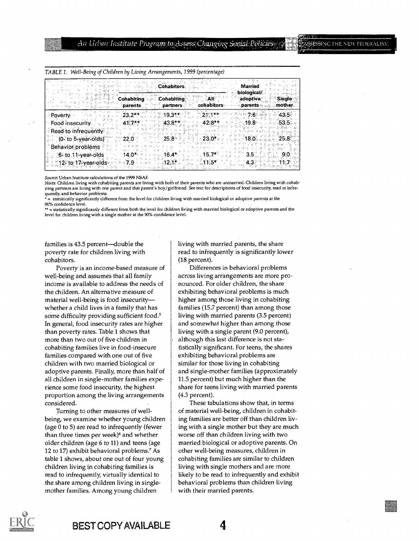| i Capelli<br><b>Cohabitors</b>                                         | Married<br>biological/                              |
|------------------------------------------------------------------------|-----------------------------------------------------|
| Cohabitino<br><b>Conabiting</b><br>∘cohabitors⊹<br>partners<br>parents | adoptive<br><b>Single</b><br>⊸ parents ա …… mother. |
| - Poverty -<br>23.                                                     |                                                     |
| Food insecurity.                                                       |                                                     |
| Read to infrequently                                                   |                                                     |
| $(0. to 5 - year-olds)$                                                |                                                     |
| Behavior problems                                                      |                                                     |
| 6- to 11-year-olds                                                     |                                                     |
| 12- to 17-year-ol                                                      |                                                     |

TABLE 1. Well-Being of Children by Living Arrangements, 1999 (percentage)

Source: Urban Institute calculations of the 1999 NSAF.

Notes: Children living with cohabiting parents are living with both of their parents who are unmarried. Children living with cohabiting partners are living with one parent and that parent's boy/girlfriend. See text for descriptions of food insecurity, read to infrequently, and behavior problems.

= statistically significantly different from the level for children living with married biological or adoptive parents at the 90% confidence level.

\*\* = statistically significantly different from both the level for children living with married biological or adoptive parents and the level for children living with a single mother at the 90% confidence level.

families is 43.5 percent--double the poverty rate for children living with cohabitors.

Poverty is an income-based measure of well-being and assumes that all family income is available to address the needs of the children. An alternative measure of material well-being is food insecurity whether a child lives in a family that has some difficulty providing sufficient food.<sup>5</sup> In general, food insecurity rates are higher than poverty rates. Table 1 shows that more than two out of five children in cohabiting families live in food-insecure families compared with one out of five children with two married biological or adoptive parents. Finally, more than half of all children in single-mother families experience some food insecurity, the highest proportion among the living arrangements considered.

Turning to other measures of wellbeing, we examine whether young children (age 0 to 5) are read to infrequently (fewer than three times per week)<sup>6</sup> and whether older children (age 6 to 11) and teens (age 12 to 17) exhibit behavioral problems.' As table 1 shows, about one out of four young children living in cohabiting families is read to infrequently, virtually identical to the share among children living in singlemother families. Among young children

living with married parents, the share read to infrequently is significantly lower (18 percent).

Differences in behavioral problems across living arrangements are more pronounced. For older children, the share exhibiting behavioral problems is much higher among those living in cohabiting families (15.7 percent) than among those living with married parents (3.5 percent) and somewhat higher than among those living with a single parent (9.0 percent), although this last difference is not statistically significant. For teens, the shares exhibiting behavioral problems are similar for those living in cohabiting and single-mother families (approximately 11.5 percent) but much higher than the share for teens living with married parents (4.3 percent).

These tabulations show that, in terms of material well-being, children in cohabiting families are better off than children living with a single mother but they are much worse off than children living with two married biological or adoptive parents. On other well-being measures, children in cohabiting families are similar to children living with single mothers and are more likely to be read to infrequently and exhibit behavioral problems than children living with their married parents.

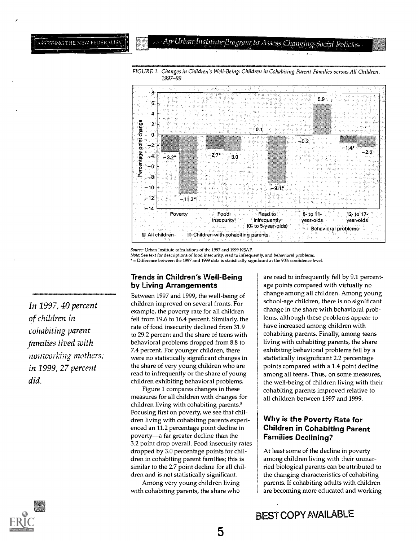## Air Urban Institute Program to Assess Changing Social Policies



FIGURE 1. Changes in Children's Well-Being: Children in Cohabiting Parent Families versus All Children, 1997-99

Source: Urban Institute calculations of the 1997 and 1999 NSAF

Note: See text for descriptions of food insecurity, read to infrequently, and behavioral problems. = Difference between the 1997 and 1999 data is statistically significant at the 90% confidence level.

#### Trends in Children's Well-Being by Living Arrangements

Between 1997 and 1999, the well-being of children improved on several fronts. For example, the poverty rate for all children fell from 19.6 to 16.4 percent. Similarly, the rate of food insecurity declined from 31.9 to 29.2 percent and the share of teens with behavioral problems dropped from 8.8 to 7.4 percent. For younger children, there were no statistically significant changes in the share of very young children who are read to infrequently or the share of young children exhibiting behavioral problems.

Figure 1 compares changes in these measures for all children with changes for children living with cohabiting parents.° Focusing first on poverty, we see that children living with cohabiting parents experienced an 11.2 percentage point decline in poverty-a far greater decline than the 3.2 point drop overall. Food insecurity rates dropped by 3.0 percentage points for children in cohabiting parent families; this is similar to the 2.7 point decline for all children and is not statistically significant.

Among very young children living with cohabiting parents, the share who

are read to infrequently fell by 9.1 percentage points compared with virtually no change among all children. Among young school-age children, there is no significant change in the share with behavioral problems, although these problems appear to have increased among children with cohabiting parents. Finally, among teens living with cohabiting parents, the share exhibiting behavioral problems fell by a statistically insignificant 2.2 percentage points compared with a 1.4 point decline among all teens. Thus, on some measures, the well-being of children living with their cohabiting parents improved relative to all children between 1997 and 1999.

#### Why is the Poverty Rate for Children in Cohabiting Parent Families Declining?

At least some of the decline in poverty among children living with their unmarried biological parents can be attributed to the changing characteristics of cohabiting parents. If cohabiting adults with children are becoming more educated and working

In 1997, 40 percent of children in cohabiting parent families lived with nontworking mothers; in 1999, 27 percent did.

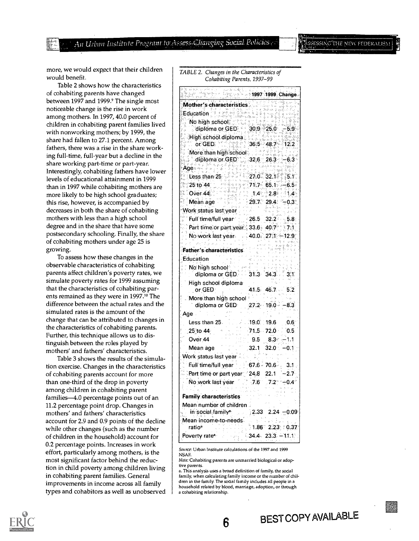An Urban Institute Program to Assess Changing Social Policies

#### SSING THE NEW FEDERALIS.

more, we would expect that their children would benefit.

Table 2 shows how the characteristics of cohabiting parents have changed between 1997 and 1999.<sup>9</sup> The single most noticeable change is the rise in work among mothers. In 1997, 40.0 percent of children in cohabiting parent families lived with nonworking mothers; by 1999, the share had fallen to 27.1 percent. Among fathers, there was a rise in the share working full-time, full-year but a decline in the share working part-time or part-year. Interestingly, cohabiting fathers have lower levels of educational attainment in 1999 than in 1997 while cohabiting mothers are more likely to be high school graduates; this rise, however, is accompanied by decreases in both the share of cohabiting mothers with less than a high school degree and in the share that have some postsecondary schooling. Finally, the share of cohabiting mothers under age 25 is growing.

To assess how these changes in the observable characteristics of cohabiting parents affect children's poverty rates, we simulate poverty rates for 1999 assuming that the characteristics of cohabiting parents remained as they were in 1997.<sup>10</sup> The difference between the actual rates and the simulated rates is the amount of the change that can be attributed to changes in the characteristics of cohabiting parents. Further, this technique allows us to distinguish between the roles played by mothers' and fathers' characteristics.

Table 3 shows the results of the simulation exercise. Changes in the characteristics of cohabiting parents account for more than one-third of the drop in poverty among children in cohabiting parent families-4.0 percentage points out of an 11.2 percentage point drop. Changes in mothers' and fathers' characteristics account for 2.9 and 0.9 points of the decline while other changes (such as the number of children in the household) account for 0.2 percentage points. Increases in work effort, particularly among mothers, is the most significant factor behind the reduction in child poverty among children living in cohabiting parent families. General improvements in income across all family types and cohabitors as well as unobserved TABLE 2. Changes in the Characteristics of Cohabiting Parents, 1997-99

|                                                                               |              | . 1997 1999 Change.        |                |
|-------------------------------------------------------------------------------|--------------|----------------------------|----------------|
| Mother's characteristics<br>Education<br>Education School:                    |              |                            |                |
|                                                                               |              |                            |                |
|                                                                               |              |                            |                |
| diploma or GED $30.9 - 25.0 - 5.9$                                            |              |                            |                |
|                                                                               |              |                            |                |
|                                                                               |              |                            |                |
| More than high school<br>  diploma or GED = 32.6 = 26.3                       |              |                            |                |
|                                                                               |              |                            | $-6.3^{\circ}$ |
| Age∝∝਼<br>$\text{Pess, than 25}$ $270.321$ $51$                               |              |                            |                |
|                                                                               |              |                            |                |
| $25$ to $44$<br>$74.7$ 65.1 65.5<br>1.4 2.8 1.4<br>29.7 29.4 - 0.3<br>Over 44 |              |                            |                |
|                                                                               |              |                            |                |
| Meán age<br>Work status last year                                             | A.           |                            |                |
|                                                                               |              |                            |                |
| Full time/full year $\sim 26.5-32.2-5.8$                                      |              |                            |                |
| Part time or part year 33.6 40.7 7:1                                          |              |                            |                |
| No work last year 40.0 27.1 - 12.9                                            |              |                            |                |
| Father's characteristics                                                      |              |                            |                |
| Education                                                                     |              |                            |                |
|                                                                               |              |                            |                |
| No high school<br>  diploma or GED.   31.3 - 34.3                             |              |                            | 3.1            |
| High school diploma                                                           |              |                            |                |
| or GED                                                                        |              | 41.5 46.7 5.2              |                |
| "More than high school"                                                       |              |                            |                |
| diploma or GED $= 27.2 \cdot 19.0 - 8.3$                                      |              |                            |                |
| Age .                                                                         |              |                            |                |
| Less than 25.                                                                 | $-19.0$ 19.6 |                            | 0.6            |
| ∶25 to 44∶                                                                    |              | $71.5$ $72.0$ $0.5$        |                |
| Over 44                                                                       |              | $9.5 \quad 8.3 \quad -1.1$ |                |
| Mean age.                                                                     |              | $32.1$ $32.0$ $-0.1$       |                |
| Work status last year                                                         |              |                            |                |
| Full time/full year $\rightarrow$ 67.6 $\frac{3}{2}$ 70.6 $\frac{3}{2}$ 3.1.  |              |                            |                |
| Part time or part year 24.8 22.1                                              |              |                            | $-2.7$         |
| No work last year 7.6 7.2 - 0.4                                               |              |                            |                |
|                                                                               |              |                            |                |
| Family characteristics                                                        |              |                            |                |
| Mean number of children<br>in social family <sup>s.</sup>                     |              | $2.33$ 2.24 $-0.09$        |                |
| Mean income-to-needs                                                          |              |                            |                |
| ratioª                                                                        |              | $1.86$ 2.23 0.37           |                |
| Poverty rate <sup>®</sup>                                                     |              | $-34.4 - 23.3 - 11.1$      |                |
|                                                                               |              |                            |                |

Source: Urban Institute calculations of the 1997 and 1999 NSAF.

Note: Cohabiting parents are unmarried biological or adoptive parents.

a. This analysis uses a broad definition of family, the social family, when calculating family income or the number of children in the family. The social family includes all people in a household related by blood, marriage, adoption, or through a cohabiting relationship.

6

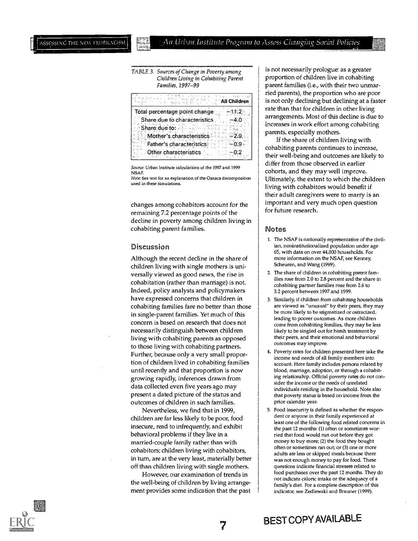TABLE 3. Sources of Change in Poverty among Children Living in Cohabiting Parent Families, 1997-99

| $55.98 \pm 0.32^{2}$<br>TO APPLICATION & SURVEY STATES<br><b>All Children</b> | ried pai<br>is not of |
|-------------------------------------------------------------------------------|-----------------------|
| Total percentage point change<br>$-11.2.$                                     | rate tha              |
| Share due to characteristics.<br>$-4.0^{\circ}$                               | arrange               |
| Share due to: Allen Allen                                                     | increase              |
| <b>Mother's characteristics</b><br>-2.9.                                      | parents<br>If tl      |
| <b>Father's characteristics</b>                                               |                       |
| Other characteristics                                                         | cohabit<br>their w    |

Source: Urban Institute calculations of the 1997 and 1999 NSAF.

Note: See text for an explanation of the Oaxaca decomposition used in these simulations.

changes among cohabitors account for the remaining 7.2 percentage points of the decline in poverty among children living in cohabiting parent families.

#### Discussion

Although the recent decline in the share of children living with single mothers is universally viewed as good news, the rise in cohabitation (rather than marriage) is not. Indeed, policy analysts and policymakers have expressed concerns that children in cohabiting families fare no better than those in single-parent families. Yet much of this concern is based on research that does not necessarily distinguish between children living with cohabiting parents as opposed to those living with cohabiting partners. Further, because only a very small proportion of children lived in cohabiting families until recently and that proportion is now growing rapidly, inferences drawn from data collected even five years ago may present a dated picture of the status and outcomes of children in such families.

Nevertheless, we find that in 1999, children are far less likely to be poor, food insecure, read to infrequently, and exhibit behavioral problems if they live in a married-couple family rather, than with cohabitors; children living with cohabitors, in turn, are at the very least, materially better off than children living with single mothers.

However, our examination of trends in the well-being of children by living arrangement provides some indication that the past

All Children  $|\hspace{0.8mm}|$  is not only declining but declining at a faster is not necessarily prologue: as a greater proportion of children live in cohabiting parent families (i.e., with their two unmarried parents), the proportion who are poor rate than that for children in other living arrangements. Most of this decline is due to increases in work effort among cohabiting parents, especially mothers.

> If the share of children living with cohabiting parents continues to increase, their well-being and outcomes are likely to differ from those observed in earlier cohorts, and they may well improve. Ultimately, the extent to which the children living with cohabitors would benefit if their adult caregivers were to marry is an important and very much open question for future research.

#### **Notes**

1

- 1. The NSAF is nationally representative of the civilian, noninstitutionalized population under age 65, with data on over 44,000 households. For more information on the NSAF, see Kenney, Scheuren, and Wang (1999).
- 2. The share of children in cohabiting parent families rose from 2.0 to 2.8 percent and the share in cohabiting partner families rose from 2.6 to 3.2 percent between 1997 and 1999.
- 3. Similarly, if children from cohabiting households are viewed as "unusual" by their peers, they may be more likely to be stigmatized or ostracized, leading to poorer outcomes. As more children come from cohabiting families, they may be less likely to be singled out for harsh treatment by their peers, and their emotional and behavioral outcomes may improve.
- 4. Poverty rates for children presented here take the income and needs of all family members into account. Here family includes persons related by blood, marriage, adoption, or through a cohabiting relationship. Official poverty rates do not consider the income or the needs of unrelated individuals residing in the household. Note also that poverty status is based on income from the prior calendar year.
- 5. Food insecurity is defined as whether the respondent or anyone in their family experienced at least one of the following food related concerns in the past 12 months: (1) often or sometimes worried that food would run out before they got money to buy more; (2) the food they bought often or sometimes ran out; or (3) one or more adults ate less or skipped meals because there was not enough money to pay for food. These questions indicate financial stresses related to food purchases over the past 12 months. They do not indicate caloric intake or the adequacy of a family's diet. For a complete description of this indicator, see Zedlewski and Brauner (1999).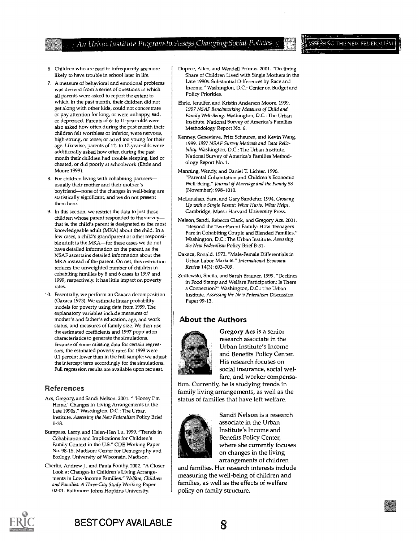An Urban Institute Program to Assess Changing Social Policies

#### 5  $\operatorname{SNG}$  the new federalism

- 6. Children who are read to infrequently are more likely to have trouble in school later in life.
- 7. A measure of behavioral and emotional problems was derived from a series of questions in which all parents were asked to report the extent to which, in the past month, their children did not get along with other kids, could not concentrate or pay attention for long, or were unhappy, sad, or depressed. Parents of 6- to 11-year-olds were also asked how often during the past month their children felt worthless or inferior; were nervous, high-strung, or tense; or acted too young for their age. Likewise, parents of 12- to 17-year-olds were additionally asked how often during the past month their children had trouble sleeping, lied or cheated, or did poorly at schoolwork (Ehrle and Moore 1999).
- 8. For children living with cohabiting partners usually their mother and their mother's boyfriend-none of the changes in well-being are statistically significant, and we do not present them here.
- 9. In this section, we restrict the data to just those children whose parent responded to the survey that is, the child's parent is designated as the most knowledgeable adult (MICA) about the child. In a few cases, a child's grandparent or other responsible adult is the MKA-for these cases we do not have detailed information on the parent, as the NSAF ascertains detailed information about the MKA instead of the parent. On net, this restriction reduces the unweighted number of children in cohabiting families by 8 and 6 cases in 1997 and 1999, respectively. It has little impact on poverty rates.
- 10. Essentially, we perform an Oaxaca decomposition (Oaxaca 1973). We estimate linear probability models for poverty using data from 1999. The explanatory variables include measures of mother's and father's education, age, and work status, and measures of family size. We then use the estimated coefficients and 1997 population characteristics to generate the simulations. Because of some missing data for certain regressors, the estimated poverty rates for 1999 were 0.1 percent lower than in the full sample; we adjust the intercept term accordingly for the simulations. Full regression results are available upon request.

#### References

- Acs, Gregory, and Sandi Nelson. 2001. "'Honey I'm Home.' Changes in Living Arrangements in the Late 1990s." Washington, D.C.: The Urban Institute. Assessing the New Federalism Policy Brief B-38.
- Bumpass, Larry, and Hsien-Hen Lu. 1999. "Trends in Cohabitation and Implications for Children's Family Context in the U.S." CDE Working Paper No. 98-15. Madison: Center for Demography and Ecology, University of Wisconsin, Madison.
- Cherlin, Andrew J., and Paula Fomby. 2002. "A Closer Look at Changes in Children's Living Arrangements in Low-Income Families." Welfare, Children and Families: A Three-City Study Working Paper 02-01. Baltimore: Johns Hopkins University.
- Dupree, Allen, and Wendell Primus. 2001. "Declining Share of Children Lived with Single Mothers in the Late 1990s: Substantial Differences by Race and Income." Washington, D.C.: Center on Budget and Policy Priorities.
- Ehrle, Jennifer, and Kristin Anderson Moore. 1999. 1997 NSAF Benchmarking Measures of Child and Family Well-Being. Washington, D.C.: The Urban Institute. National Survey of America's Families Methodology Report No. 6.
- Kenney, Genevieve, Fritz Scheuren, and Kevin Wang. 1999. 1997 NSAF Survey Methods and Data Reliability. Washington, D.C.: The Urban Institute. National Survey of America's Families Methodology Report No. 1.
- Manning, Wendy, and Daniel T. Lichter. 1996. "Parental Cohabitation and Children's Economic Well-Being." Journal of Marriage and the Family 58 (November): 998-1010.
- McLanahan, Sara, and Gary Sandefur. 1994. Growing Up with a Single Parent: What Hurts, What Helps. Cambridge, Mass.: Harvard University Press.
- Nelson, Sandi, Rebecca Clark, and Gregory Acs. 2001. "Beyond the Two-Parent Family: How Teenagers Fare in Cohabiting Couple and Blended Families." Washington, D.C.: The Urban Institute. Assessing the New Federalism Policy Brief B-31.
- Oaxaca, Ronald. 1973. "Male-Female Differentials in Urban Labor Markets." International Economic Review 14(3): 693-709.
- Zedlewski, Sheila, and Sarah Brauner. 1999. "Declines in Food Stamp and Welfare Participation: Is There a Connection?" Washington, D.C.: The Urban Institute. Assessing the New Federalism Discussion Paper 99-13.

#### About the Authors



Gregory Acs is a senior research associate in the Urban Institute's Income and Benefits Policy Center. His research focuses on social insurance, social welfare, and worker compensa-

tion. Currently, he is studying trends in family living arrangements, as well as the status of families that have left welfare.



Sandi Nelson is a research associate in the Urban Institute's Income and Benefits Policy Center, where she currently focuses on changes in the living arrangements of children

and families. Her research interests include measuring the well-being of children and families, as well as the effects of welfare policy on family structure.



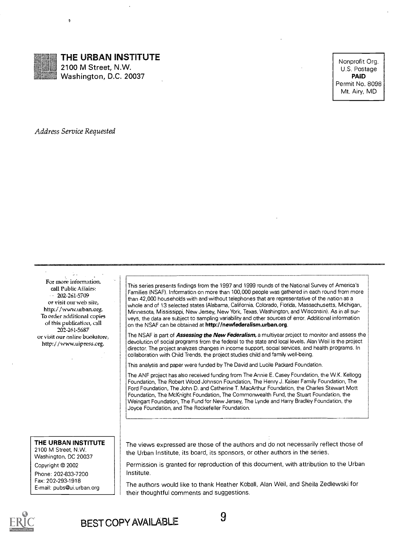

### THE URBAN INSTITUTE

2100 M Street, N.W. Washington, D.C. 20037

Nonprofit Org. U.S. Postage PAID Permit No. 8098 Mt. Airy, MD

Address Service Requested

tl

For more information, call Public Affairs:  $-202 - 261 - 5709$ or visit our web site, http://www.urban.org. To order additional copies of this publication, call 202-261-5687 or visit our online bookstore, http://www.uipress.org.

#### THE URBAN INSTITUTE

2100 M Street, N.W. Washington, DC 20037

Copyright © 2002 Phone: 202-833-7200 Fax: 202-293-1918

E-mail: pubs@ui.urban.org

This series presents findings from the 1997 and 1999 rounds of the National Survey of America's Families (NSAF). Information on more than 100,000 people was gathered in each round from more than 42,000 households with and without telephones that are representative of the nation as a whole and of 13 selected states (Alabama, California, Colorado, Florida, Massachusetts, Michigan, Minnesota, Mississippi, New Jersey, New York, Texas, Washington, and Wisconsin). As in all surveys, the data are subject to sampling variability and other sources of error. Additional information on the NSAF can be obtained at http://newfederalism.urban.org.

The NSAF is part of Assessing the New Federalism, a multiyear project to monitor and assess the devolution of social programs from the federal to the state and local levels. Alan Weil is the project director. The project analyzes changes in income support, social services, and health programs. In collaboration with Child Trends, the project studies child and family well-being.

This analysis and paper were funded by The David and Lucile Packard Foundation.

The ANF project has also received funding from The Annie E. Casey Foundation, the W.K. Kellogg Foundation, The Robert Wood Johnson Foundation, The Henry J. Kaiser Family Foundation, The Ford Foundation, The John D. and Catherine T. MacArthur Foundation, the Charles Stewart Mott Foundation, The McKnight Foundation, The Commonwealth Fund, the Stuart Foundation, the Weingart Foundation, The Fund for New Jersey, The Lynde and Harry Bradley Foundation, the Joyce Foundation, and The Rockefeller Foundation.

The views expressed are those of the authors and do not necessarily reflect those of the Urban Institute, its board, its sponsors, or other authors in the series.

Permission is granted for reproduction of this document, with attribution to the Urban Institute.

The authors would like to thank Heather Koball, Alan Weil, and Sheila Zedlewski for their thoughtful comments and suggestions.



BEST COPY AVAILABLE 9